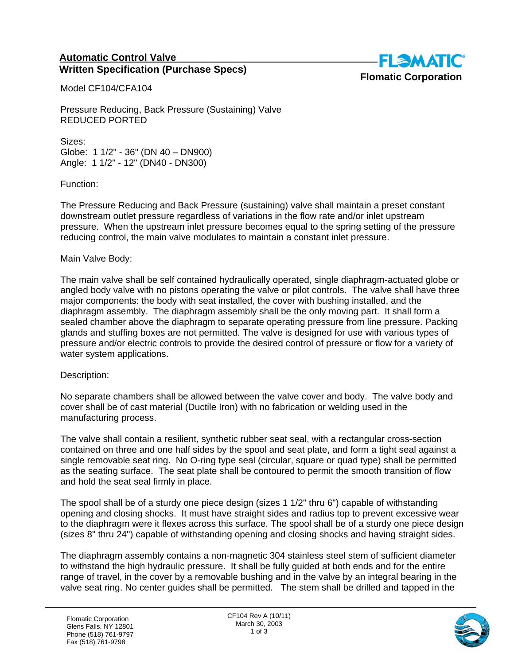## **Automatic Control Valve Written Specification (Purchase Specs)**



Model CF104/CFA104

Pressure Reducing, Back Pressure (Sustaining) Valve REDUCED PORTED

Sizes: Globe: 1 1/2" - 36" (DN 40 – DN900) Angle: 1 1/2" - 12" (DN40 - DN300)

Function:

The Pressure Reducing and Back Pressure (sustaining) valve shall maintain a preset constant downstream outlet pressure regardless of variations in the flow rate and/or inlet upstream pressure. When the upstream inlet pressure becomes equal to the spring setting of the pressure reducing control, the main valve modulates to maintain a constant inlet pressure.

## Main Valve Body:

The main valve shall be self contained hydraulically operated, single diaphragm-actuated globe or angled body valve with no pistons operating the valve or pilot controls. The valve shall have three major components: the body with seat installed, the cover with bushing installed, and the diaphragm assembly. The diaphragm assembly shall be the only moving part. It shall form a sealed chamber above the diaphragm to separate operating pressure from line pressure. Packing glands and stuffing boxes are not permitted. The valve is designed for use with various types of pressure and/or electric controls to provide the desired control of pressure or flow for a variety of water system applications.

## Description:

No separate chambers shall be allowed between the valve cover and body. The valve body and cover shall be of cast material (Ductile Iron) with no fabrication or welding used in the manufacturing process.

The valve shall contain a resilient, synthetic rubber seat seal, with a rectangular cross-section contained on three and one half sides by the spool and seat plate, and form a tight seal against a single removable seat ring. No O-ring type seal (circular, square or quad type) shall be permitted as the seating surface. The seat plate shall be contoured to permit the smooth transition of flow and hold the seat seal firmly in place.

The spool shall be of a sturdy one piece design (sizes 1 1/2" thru 6") capable of withstanding opening and closing shocks. It must have straight sides and radius top to prevent excessive wear to the diaphragm were it flexes across this surface. The spool shall be of a sturdy one piece design (sizes 8" thru 24") capable of withstanding opening and closing shocks and having straight sides.

The diaphragm assembly contains a non-magnetic 304 stainless steel stem of sufficient diameter to withstand the high hydraulic pressure. It shall be fully guided at both ends and for the entire range of travel, in the cover by a removable bushing and in the valve by an integral bearing in the valve seat ring. No center guides shall be permitted. The stem shall be drilled and tapped in the

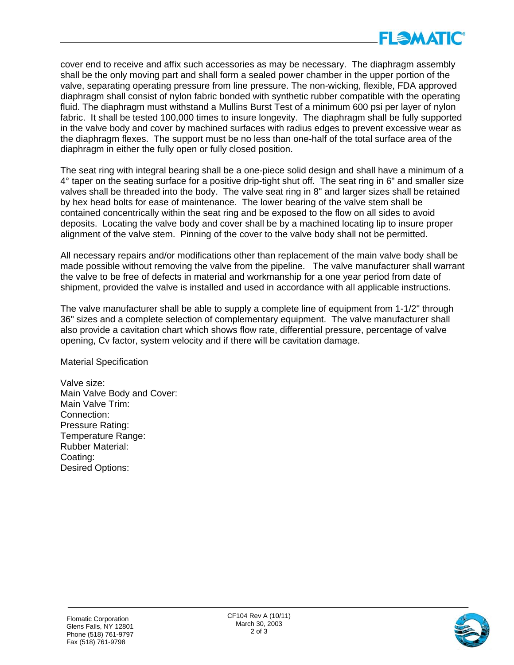

cover end to receive and affix such accessories as may be necessary. The diaphragm assembly shall be the only moving part and shall form a sealed power chamber in the upper portion of the valve, separating operating pressure from line pressure. The non-wicking, flexible, FDA approved diaphragm shall consist of nylon fabric bonded with synthetic rubber compatible with the operating fluid. The diaphragm must withstand a Mullins Burst Test of a minimum 600 psi per layer of nylon fabric. It shall be tested 100,000 times to insure longevity. The diaphragm shall be fully supported in the valve body and cover by machined surfaces with radius edges to prevent excessive wear as the diaphragm flexes. The support must be no less than one-half of the total surface area of the diaphragm in either the fully open or fully closed position.

The seat ring with integral bearing shall be a one-piece solid design and shall have a minimum of a 4° taper on the seating surface for a positive drip-tight shut off. The seat ring in 6" and smaller size valves shall be threaded into the body. The valve seat ring in 8" and larger sizes shall be retained by hex head bolts for ease of maintenance. The lower bearing of the valve stem shall be contained concentrically within the seat ring and be exposed to the flow on all sides to avoid deposits. Locating the valve body and cover shall be by a machined locating lip to insure proper alignment of the valve stem. Pinning of the cover to the valve body shall not be permitted.

All necessary repairs and/or modifications other than replacement of the main valve body shall be made possible without removing the valve from the pipeline. The valve manufacturer shall warrant the valve to be free of defects in material and workmanship for a one year period from date of shipment, provided the valve is installed and used in accordance with all applicable instructions.

The valve manufacturer shall be able to supply a complete line of equipment from 1-1/2" through 36" sizes and a complete selection of complementary equipment. The valve manufacturer shall also provide a cavitation chart which shows flow rate, differential pressure, percentage of valve opening, Cv factor, system velocity and if there will be cavitation damage.

Material Specification

Valve size: Main Valve Body and Cover: Main Valve Trim: Connection: Pressure Rating: Temperature Range: Rubber Material: Coating: Desired Options: